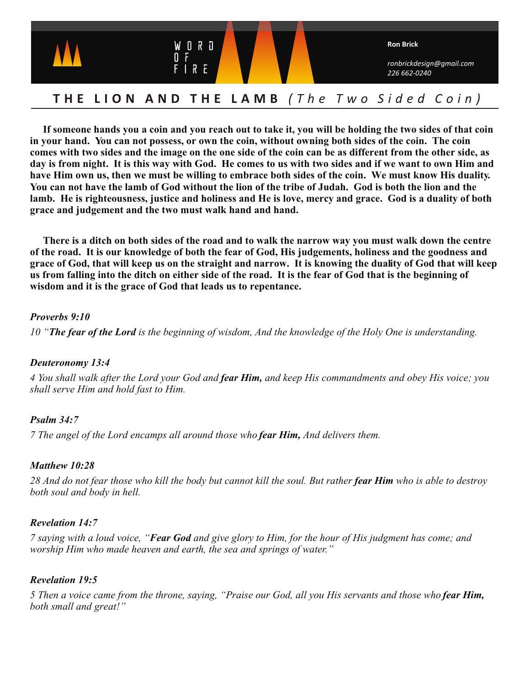

# **THE LION AND THE LAMB** *(The Two Sided Coin)*

**If someone hands you a coin and you reach out to take it, you will be holding the two sides of that coin in your hand. You can not possess, or own the coin, without owning both sides of the coin. The coin comes with two sides and the image on the one side of the coin can be as different from the other side, as day is from night. It is this way with God. He comes to us with two sides and if we want to own Him and have Him own us, then we must be willing to embrace both sides of the coin. We must know His duality. You can not have the lamb of God without the lion of the tribe of Judah. God is both the lion and the lamb. He is righteousness, justice and holiness and He is love, mercy and grace. God is a duality of both grace and judgement and the two must walk hand and hand.**

 **There is a ditch on both sides of the road and to walk the narrow way you must walk down the centre of the road. It is our knowledge of both the fear of God, His judgements, holiness and the goodness and grace of God, that will keep us on the straight and narrow. It is knowing the duality of God that will keep us from falling into the ditch on either side of the road. It is the fear of God that is the beginning of wisdom and it is the grace of God that leads us to repentance.** 

#### *Proverbs 9:10*

*10 "The fear of the Lord is the beginning of wisdom, And the knowledge of the Holy One is understanding.*

### *Deuteronomy 13:4*

*4 You shall walk after the Lord your God and fear Him, and keep His commandments and obey His voice; you shall serve Him and hold fast to Him.*

### *Psalm 34:7*

*7 The angel of the Lord encamps all around those who fear Him, And delivers them.*

### *Matthew 10:28*

*28 And do not fear those who kill the body but cannot kill the soul. But rather fear Him who is able to destroy both soul and body in hell.*

### *Revelation 14:7*

*7 saying with a loud voice, "Fear God and give glory to Him, for the hour of His judgment has come; and worship Him who made heaven and earth, the sea and springs of water."*

### *Revelation 19:5*

*5 Then a voice came from the throne, saying, "Praise our God, all you His servants and those who fear Him, both small and great!"*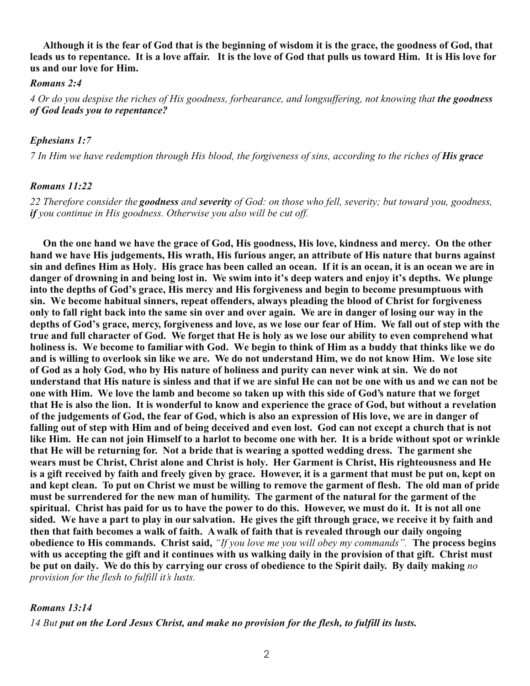**Although it is the fear of God that is the beginning of wisdom it is the grace, the goodness of God, that leads us to repentance. It is a love affair. It is the love of God that pulls us toward Him. It is His love for us and our love for Him.** 

#### *Romans 2:4*

*4 Or do you despise the riches of His goodness, forbearance, and longsuffering, not knowing that the goodness of God leads you to repentance?*

#### *Ephesians 1:7*

*7 In Him we have redemption through His blood, the forgiveness of sins, according to the riches of His grace* 

#### *Romans 11:22*

*22 Therefore consider the goodness and severity of God: on those who fell, severity; but toward you, goodness, if you continue in His goodness. Otherwise you also will be cut off.*

**On the one hand we have the grace of God, His goodness, His love, kindness and mercy. On the other hand we have His judgements, His wrath, His furious anger, an attribute of His nature that burns against sin and defines Him as Holy. His grace has been called an ocean. If it is an ocean, it is an ocean we are in danger of drowning in and being lost in. We swim into it's deep waters and enjoy it's depths. We plunge into the depths of God's grace, His mercy and His forgiveness and begin to become presumptuous with sin. We become habitual sinners, repeat offenders, always pleading the blood of Christ for forgiveness only to fall right back into the same sin over and over again. We are in danger of losing our way in the depths of God's grace, mercy, forgiveness and love, as we lose our fear of Him. We fall out of step with the true and full character of God. We forget that He is holy as we lose our ability to even comprehend what holiness is. We become to familiar with God. We begin to think of Him as a buddy that thinks like we do and is willing to overlook sin like we are. We do not understand Him, we do not know Him. We lose site of God as a holy God, who by His nature of holiness and purity can never wink at sin. We do not understand that His nature is sinless and that if we are sinful He can not be one with us and we can not be one with Him. We love the lamb and become so taken up with this side of God's nature that we forget that He is also the lion. It is wonderful to know and experience the grace of God, but without a revelation of the judgements of God, the fear of God, which is also an expression of His love, we are in danger of falling out of step with Him and of being deceived and even lost. God can not except a church that is not like Him. He can not join Himself to a harlot to become one with her. It is a bride without spot or wrinkle that He will be returning for. Not a bride that is wearing a spotted wedding dress. The garment she wears must be Christ, Christ alone and Christ is holy. Her Garment is Christ, His righteousness and He is a gift received by faith and freely given by grace. However, it is a garment that must be put on, kept on and kept clean. To put on Christ we must be willing to remove the garment of flesh. The old man of pride must be surrendered for the new man of humility. The garment of the natural for the garment of the spiritual. Christ has paid for us to have the power to do this. However, we must do it. It is not all one sided. We have a part to play in our salvation. He gives the gift through grace, we receive it by faith and then that faith becomes a walk of faith. A walk of faith that is revealed through our daily ongoing obedience to His commands. Christ said,** *"If you love me you will obey my commands".* **The process begins with us accepting the gift and it continues with us walking daily in the provision of that gift. Christ must be put on daily. We do this by carrying our cross of obedience to the Spirit daily. By daily making** *no provision for the flesh to fulfill it's lusts.*

#### *Romans 13:14*

*14 But put on the Lord Jesus Christ, and make no provision for the flesh, to fulfill its lusts.*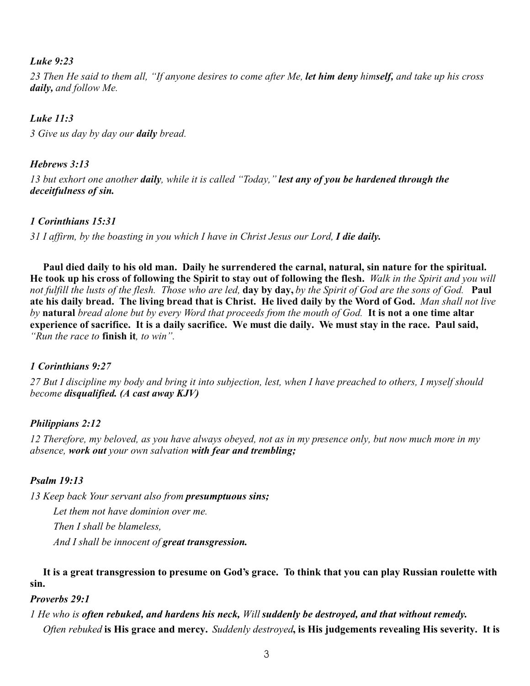### *Luke 9:23*

*23 Then He said to them all, "If anyone desires to come after Me, let him deny himself, and take up his cross daily, and follow Me.*

### *Luke 11:3*

*3 Give us day by day our daily bread.*

### *Hebrews 3:13*

*13 but exhort one another daily, while it is called "Today," lest any of you be hardened through the deceitfulness of sin.*

### *1 Corinthians 15:31*

*31 I affirm, by the boasting in you which I have in Christ Jesus our Lord, I die daily.*

**Paul died daily to his old man. Daily he surrendered the carnal, natural, sin nature for the spiritual. He took up his cross of following the Spirit to stay out of following the flesh.** *Walk in the Spirit and you will not fulfill the lusts of the flesh. Those who are led,* **day by day,** *by the Spirit of God are the sons of God.* **Paul ate his daily bread. The living bread that is Christ. He lived daily by the Word of God.** *Man shall not live by* **natural** *bread alone but by every Word that proceeds from the mouth of God.* **It is not a one time altar experience of sacrifice. It is a daily sacrifice. We must die daily. We must stay in the race. Paul said,** *"Run the race to* **finish it***, to win".* 

### *1 Corinthians 9:27*

*27 But I discipline my body and bring it into subjection, lest, when I have preached to others, I myself should become disqualified. (A cast away KJV)* 

### *Philippians 2:12*

*12 Therefore, my beloved, as you have always obeyed, not as in my presence only, but now much more in my absence, work out your own salvation with fear and trembling;*

### *Psalm 19:13*

*13 Keep back Your servant also from presumptuous sins; Let them not have dominion over me. Then I shall be blameless, And I shall be innocent of great transgression.*

**It is a great transgression to presume on God's grace. To think that you can play Russian roulette with sin.**

### *Proverbs 29:1*

## *1 He who is often rebuked, and hardens his neck, Will suddenly be destroyed, and that without remedy. Often rebuked* **is His grace and mercy.** *Suddenly destroyed***, is His judgements revealing His severity. It is**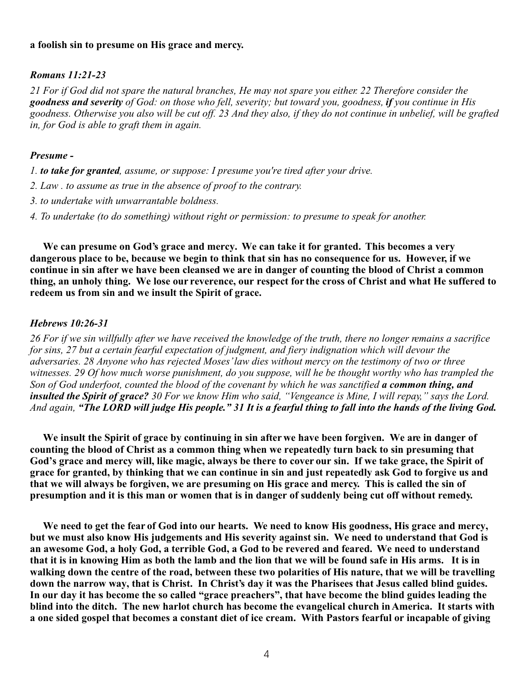#### **a foolish sin to presume on His grace and mercy.**

#### *Romans 11:21-23*

*21 For if God did not spare the natural branches, He may not spare you either. 22 Therefore consider the goodness and severity of God: on those who fell, severity; but toward you, goodness, if you continue in His goodness. Otherwise you also will be cut off. 23 And they also, if they do not continue in unbelief, will be grafted in, for God is able to graft them in again.*

#### *Presume -*

*1. to take for granted, assume, or suppose: I presume you're tired after your drive.*

- *2. Law . to assume as true in the absence of proof to the contrary.*
- *3. to undertake with unwarrantable boldness.*
- *4. To undertake (to do something) without right or permission: to presume to speak for another.*

**We can presume on God's grace and mercy. We can take it for granted. This becomes a very dangerous place to be, because we begin to think that sin has no consequence for us. However, if we continue in sin after we have been cleansed we are in danger of counting the blood of Christ a common thing, an unholy thing. We lose our reverence, our respect for the cross of Christ and what He suffered to redeem us from sin and we insult the Spirit of grace.** 

#### *Hebrews 10:26-31*

*26 For if we sin willfully after we have received the knowledge of the truth, there no longer remains a sacrifice for sins, 27 but a certain fearful expectation of judgment, and fiery indignation which will devour the adversaries. 28 Anyone who has rejected Moses' law dies without mercy on the testimony of two or three witnesses. 29 Of how much worse punishment, do you suppose, will he be thought worthy who has trampled the Son of God underfoot, counted the blood of the covenant by which he was sanctified a common thing, and insulted the Spirit of grace? 30 For we know Him who said, "Vengeance is Mine, I will repay," says the Lord. And again, "The LORD will judge His people." 31 It is a fearful thing to fall into the hands of the living God.*

**We insult the Spirit of grace by continuing in sin after we have been forgiven. We are in danger of counting the blood of Christ as a common thing when we repeatedly turn back to sin presuming that God's grace and mercy will, like magic, always be there to cover our sin. If we take grace, the Spirit of grace for granted, by thinking that we can continue in sin and just repeatedly ask God to forgive us and that we will always be forgiven, we are presuming on His grace and mercy. This is called the sin of presumption and it is this man or women that is in danger of suddenly being cut off without remedy.** 

 **We need to get the fear of God into our hearts. We need to know His goodness, His grace and mercy, but we must also know His judgements and His severity against sin. We need to understand that God is an awesome God, a holy God, a terrible God, a God to be revered and feared. We need to understand that it is in knowing Him as both the lamb and the lion that we will be found safe in His arms. It is in walking down the centre of the road, between these two polarities of His nature, that we will be travelling down the narrow way, that is Christ. In Christ's day it was the Pharisees that Jesus called blind guides. In our day it has become the so called "grace preachers", that have become the blind guides leading the blind into the ditch. The new harlot church has become the evangelical church in America. It starts with a one sided gospel that becomes a constant diet of ice cream. With Pastors fearful or incapable of giving**